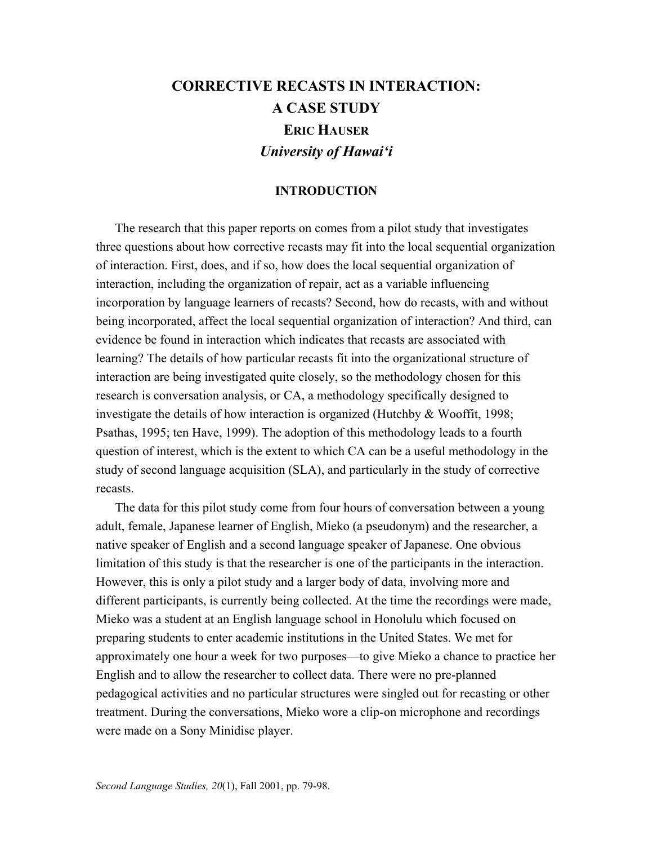# **CORRECTIVE RECASTS IN INTERACTION: A CASE STUDY ERIC HAUSER** *University of Hawai'i*

## **INTRODUCTION**

 The research that this paper reports on comes from a pilot study that investigates three questions about how corrective recasts may fit into the local sequential organization of interaction. First, does, and if so, how does the local sequential organization of interaction, including the organization of repair, act as a variable influencing incorporation by language learners of recasts? Second, how do recasts, with and without being incorporated, affect the local sequential organization of interaction? And third, can evidence be found in interaction which indicates that recasts are associated with learning? The details of how particular recasts fit into the organizational structure of interaction are being investigated quite closely, so the methodology chosen for this research is conversation analysis, or CA, a methodology specifically designed to investigate the details of how interaction is organized (Hutchby & Wooffit, 1998; Psathas, 1995; ten Have, 1999). The adoption of this methodology leads to a fourth question of interest, which is the extent to which CA can be a useful methodology in the study of second language acquisition (SLA), and particularly in the study of corrective recasts.

 The data for this pilot study come from four hours of conversation between a young adult, female, Japanese learner of English, Mieko (a pseudonym) and the researcher, a native speaker of English and a second language speaker of Japanese. One obvious limitation of this study is that the researcher is one of the participants in the interaction. However, this is only a pilot study and a larger body of data, involving more and different participants, is currently being collected. At the time the recordings were made, Mieko was a student at an English language school in Honolulu which focused on preparing students to enter academic institutions in the United States. We met for approximately one hour a week for two purposes—to give Mieko a chance to practice her English and to allow the researcher to collect data. There were no pre-planned pedagogical activities and no particular structures were singled out for recasting or other treatment. During the conversations, Mieko wore a clip-on microphone and recordings were made on a Sony Minidisc player.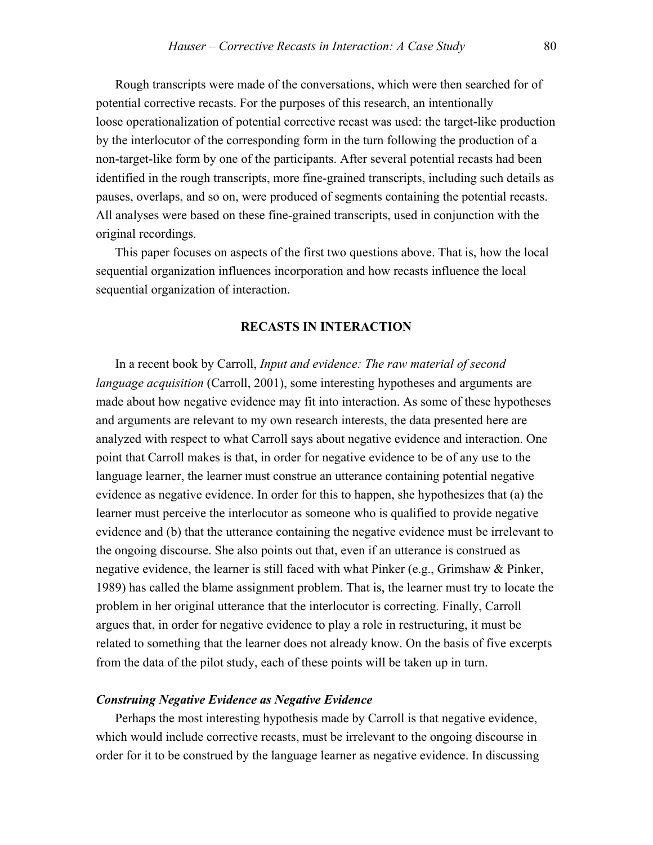Rough transcripts were made of the conversations, which were then searched for of potential corrective recasts. For the purposes of this research, an intentionally loose operationalization of potential corrective recast was used: the target-like production by the interlocutor of the corresponding form in the turn following the production of a non-target-like form by one of the participants. After several potential recasts had been identified in the rough transcripts, more fine-grained transcripts, including such details as pauses, overlaps, and so on, were produced of segments containing the potential recasts. All analyses were based on these fine-grained transcripts, used in conjunction with the original recordings.

 This paper focuses on aspects of the first two questions above. That is, how the local sequential organization influences incorporation and how recasts influence the local sequential organization of interaction.

#### **RECASTS IN INTERACTION**

 In a recent book by Carroll, *Input and evidence: The raw material of second language acquisition* (Carroll, 2001), some interesting hypotheses and arguments are made about how negative evidence may fit into interaction. As some of these hypotheses and arguments are relevant to my own research interests, the data presented here are analyzed with respect to what Carroll says about negative evidence and interaction. One point that Carroll makes is that, in order for negative evidence to be of any use to the language learner, the learner must construe an utterance containing potential negative evidence as negative evidence. In order for this to happen, she hypothesizes that (a) the learner must perceive the interlocutor as someone who is qualified to provide negative evidence and (b) that the utterance containing the negative evidence must be irrelevant to the ongoing discourse. She also points out that, even if an utterance is construed as negative evidence, the learner is still faced with what Pinker (e.g., Grimshaw & Pinker, 1989) has called the blame assignment problem. That is, the learner must try to locate the problem in her original utterance that the interlocutor is correcting. Finally, Carroll argues that, in order for negative evidence to play a role in restructuring, it must be related to something that the learner does not already know. On the basis of five excerpts from the data of the pilot study, each of these points will be taken up in turn.

#### *Construing Negative Evidence as Negative Evidence*

Perhaps the most interesting hypothesis made by Carroll is that negative evidence, which would include corrective recasts, must be irrelevant to the ongoing discourse in order for it to be construed by the language learner as negative evidence. In discussing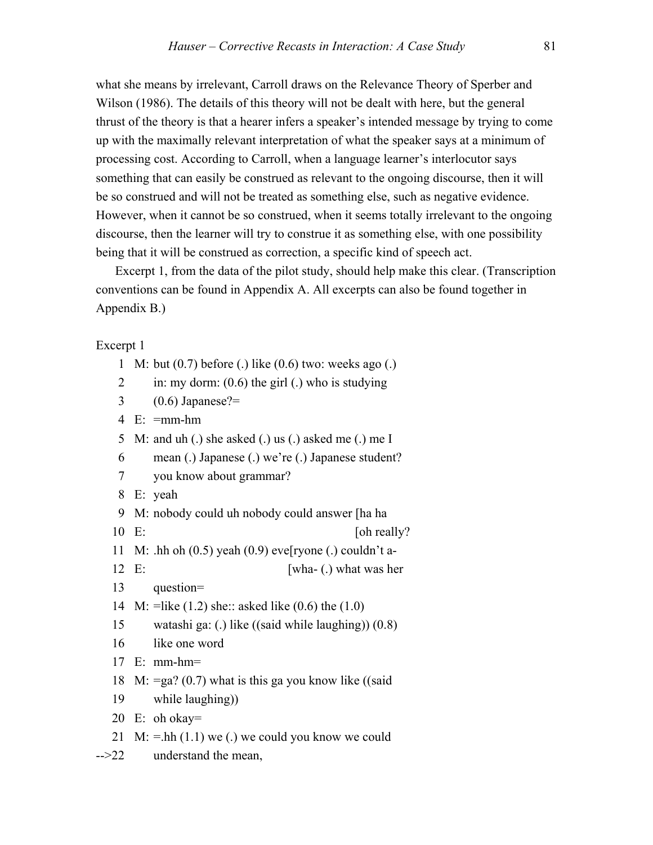what she means by irrelevant, Carroll draws on the Relevance Theory of Sperber and Wilson (1986). The details of this theory will not be dealt with here, but the general thrust of the theory is that a hearer infers a speaker's intended message by trying to come up with the maximally relevant interpretation of what the speaker says at a minimum of processing cost. According to Carroll, when a language learner's interlocutor says something that can easily be construed as relevant to the ongoing discourse, then it will be so construed and will not be treated as something else, such as negative evidence. However, when it cannot be so construed, when it seems totally irrelevant to the ongoing discourse, then the learner will try to construe it as something else, with one possibility being that it will be construed as correction, a specific kind of speech act.

 Excerpt 1, from the data of the pilot study, should help make this clear. (Transcription conventions can be found in Appendix A. All excerpts can also be found together in Appendix B.)

#### Excerpt 1

1 M: but (0.7) before (.) like (0.6) two: weeks ago (.)

2 in: my dorm:  $(0.6)$  the girl (.) who is studying

 $3 \qquad (0.6) \text{ Japanese?} =$ 

```
4 E: =mm-hm
```
- 5 M: and uh (.) she asked (.) us (.) asked me (.) me I
- 6 mean (.) Japanese (.) we're (.) Japanese student?
- 7 you know about grammar?
- 8 E: yeah
- 9 M: nobody could uh nobody could answer [ha ha
- 10 E: [oh really?]
- 11 M: .hh oh  $(0.5)$  yeah  $(0.9)$  eve[ryone (.) couldn't a-
- 12 E: [wha- (.) what was her
- 13 question=
- 14 M: =like (1.2) she:: asked like (0.6) the (1.0)
- 15 watashi ga: (.) like ((said while laughing)) (0.8)
- 16 like one word
- 17 E: mm-hm=
- 18 M:  $=$ ga? (0.7) what is this ga you know like ((said
- 19 while laughing))
- 20 E: oh okay=
- 21 M:  $=$ hh (1.1) we (.) we could you know we could
- -->22 understand the mean,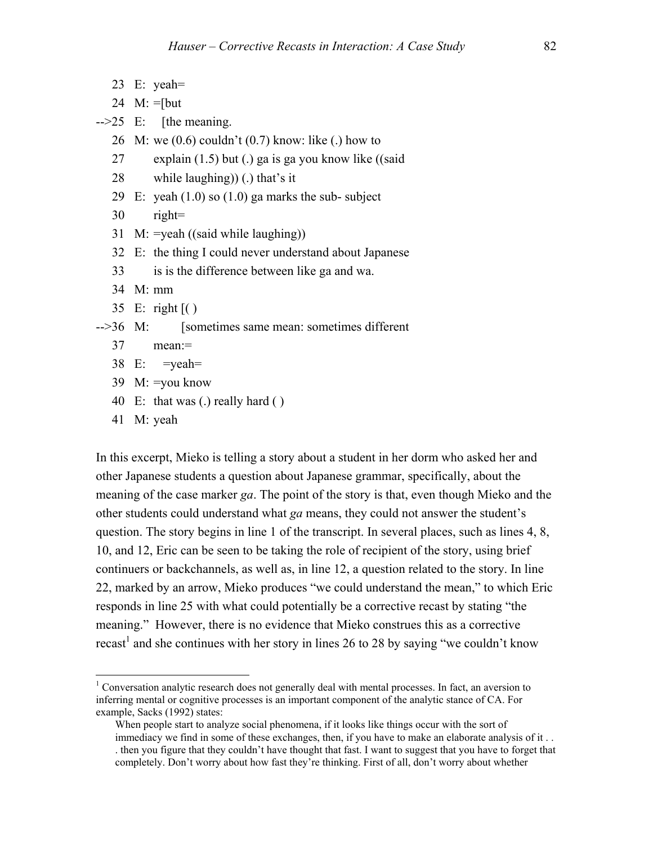23 E: yeah=

24  $M: =$ [but

 $\text{-}$ - $\text{-}25$  E: [the meaning.]

26 M: we (0.6) couldn't (0.7) know: like (.) how to

27 explain (1.5) but (.) ga is ga you know like ((said

28 while laughing)) (.) that's it

- 29 E: yeah  $(1.0)$  so  $(1.0)$  ga marks the sub-subject
- 30 right=
- 31 M: =yeah ((said while laughing))
- 32 E: the thing I could never understand about Japanese
- 33 is is the difference between like ga and wa.
- 34 M: mm
- 35 E: right [( )

-->36 M: [sometimes same mean: sometimes different

- 37 mean:=
- 38 E: =yeah=
- 39 M: =you know
- 40 E: that was (.) really hard ( )
- 41 M: yeah

 $\overline{a}$ 

In this excerpt, Mieko is telling a story about a student in her dorm who asked her and other Japanese students a question about Japanese grammar, specifically, about the meaning of the case marker *ga*. The point of the story is that, even though Mieko and the other students could understand what *ga* means, they could not answer the student's question. The story begins in line 1 of the transcript. In several places, such as lines 4, 8, 10, and 12, Eric can be seen to be taking the role of recipient of the story, using brief continuers or backchannels, as well as, in line 12, a question related to the story. In line 22, marked by an arrow, Mieko produces "we could understand the mean," to which Eric responds in line 25 with what could potentially be a corrective recast by stating "the meaning." However, there is no evidence that Mieko construes this as a corrective recast<sup>1</sup> and she continues with her story in lines 26 to 28 by saying "we couldn't know

<sup>&</sup>lt;sup>1</sup> Conversation analytic research does not generally deal with mental processes. In fact, an aversion to inferring mental or cognitive processes is an important component of the analytic stance of CA. For example, Sacks (1992) states:

When people start to analyze social phenomena, if it looks like things occur with the sort of immediacy we find in some of these exchanges, then, if you have to make an elaborate analysis of it . . . then you figure that they couldn't have thought that fast. I want to suggest that you have to forget that completely. Don't worry about how fast they're thinking. First of all, don't worry about whether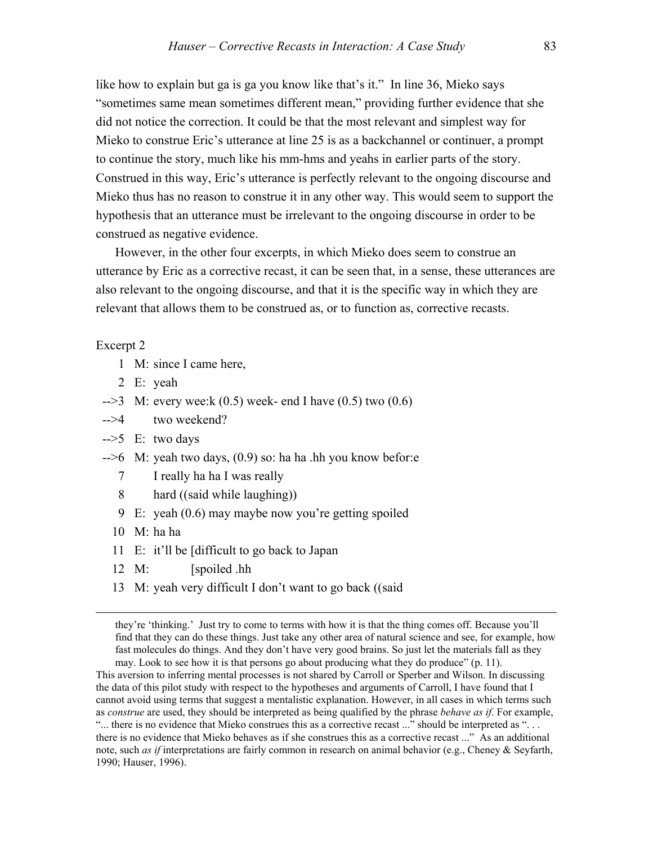like how to explain but ga is ga you know like that's it." In line 36, Mieko says "sometimes same mean sometimes different mean," providing further evidence that she did not notice the correction. It could be that the most relevant and simplest way for Mieko to construe Eric's utterance at line 25 is as a backchannel or continuer, a prompt to continue the story, much like his mm-hms and yeahs in earlier parts of the story. Construed in this way, Eric's utterance is perfectly relevant to the ongoing discourse and Mieko thus has no reason to construe it in any other way. This would seem to support the hypothesis that an utterance must be irrelevant to the ongoing discourse in order to be construed as negative evidence.

 However, in the other four excerpts, in which Mieko does seem to construe an utterance by Eric as a corrective recast, it can be seen that, in a sense, these utterances are also relevant to the ongoing discourse, and that it is the specific way in which they are relevant that allows them to be construed as, or to function as, corrective recasts.

#### Excerpt 2

- 1 M: since I came here,
- 2 E: yeah
- $-3$  M: every wee:k (0.5) week- end I have (0.5) two (0.6)
- -->4 two weekend?
- $\text{->5}$  E: two days
- -->6 M: yeah two days, (0.9) so: ha ha .hh you know befor:e
	- 7 I really ha ha I was really
	- 8 hard ((said while laughing))
	- 9 E: yeah (0.6) may maybe now you're getting spoiled
	- 10 M: ha ha

 $\overline{a}$ 

- 11 E: it'll be [difficult to go back to Japan
- 12 M: [spoiled .hh
- 13 M: yeah very difficult I don't want to go back ((said

This aversion to inferring mental processes is not shared by Carroll or Sperber and Wilson. In discussing the data of this pilot study with respect to the hypotheses and arguments of Carroll, I have found that I cannot avoid using terms that suggest a mentalistic explanation. However, in all cases in which terms such as *construe* are used, they should be interpreted as being qualified by the phrase *behave as if*. For example, "... there is no evidence that Mieko construes this as a corrective recast ..." should be interpreted as "... there is no evidence that Mieko behaves as if she construes this as a corrective recast ..." As an additional note, such *as if* interpretations are fairly common in research on animal behavior (e.g., Cheney & Seyfarth, 1990; Hauser, 1996).

they're 'thinking.' Just try to come to terms with how it is that the thing comes off. Because you'll find that they can do these things. Just take any other area of natural science and see, for example, how fast molecules do things. And they don't have very good brains. So just let the materials fall as they may. Look to see how it is that persons go about producing what they do produce" (p. 11).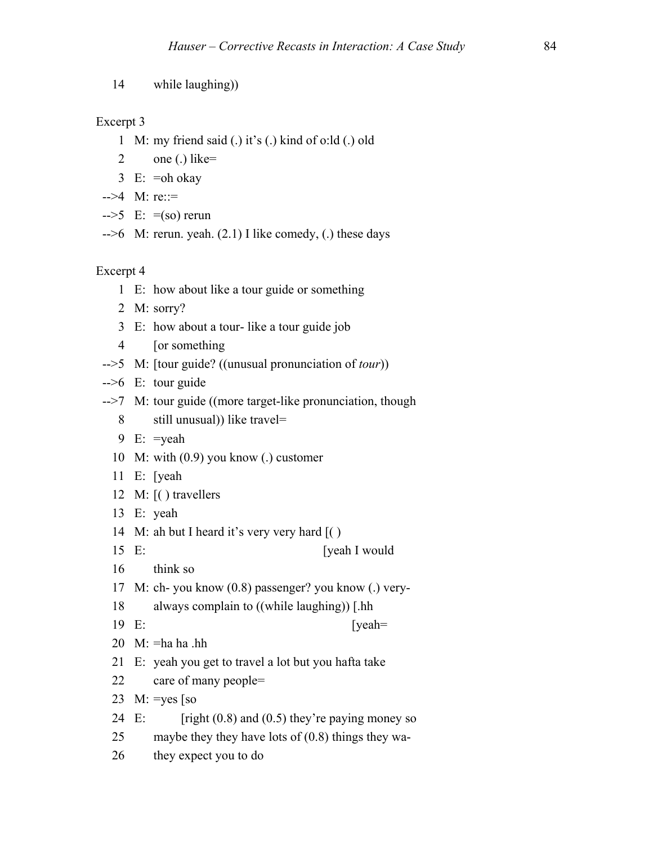14 while laughing))

## Excerpt 3

- 1 M: my friend said (.) it's (.) kind of o:ld (.) old
- 2 one (.) like=
- 3 E: =oh okay
- -->4 M: re::=
- $\text{--}>5$  E:  $\text{=(so)}$  rerun
- $\rightarrow$  6 M: rerun. yeah. (2.1) I like comedy, (.) these days

- 1 E: how about like a tour guide or something
- 2 M: sorry?
- 3 E: how about a tour- like a tour guide job
- 4 [or something
- -->5 M: [tour guide? ((unusual pronunciation of *tour*))
- $\leftarrow$   $\geq$  E: tour guide
- -->7 M: tour guide ((more target-like pronunciation, though
	- 8 still unusual)) like travel=
	- 9 E: =yeah
	- 10 M: with (0.9) you know (.) customer
	- 11 E: [yeah
	- 12 M: [( ) travellers
	- 13 E: yeah
	- 14 M: ah but I heard it's very very hard [( )
	- 15 E: [yeah I would
	- 16 think so
	- 17 M: ch- you know (0.8) passenger? you know (.) very-
	- 18 always complain to ((while laughing)) [.hh
	- 19 E: [yeah=
	- $20$  M:  $=$ ha ha .hh
	- 21 E: yeah you get to travel a lot but you hafta take
	- 22 care of many people=
	- 23 M:  $=$ yes [so
	- 24 E:  $[right (0.8) and (0.5) they're paying money so$
	- 25 maybe they they have lots of (0.8) things they wa-
	- 26 they expect you to do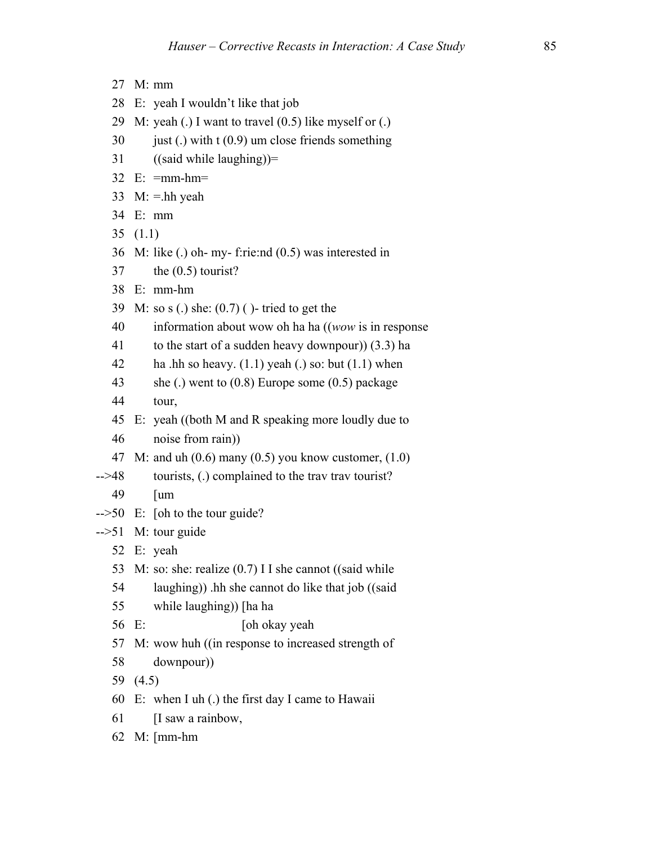- 27 M: mm
- 28 E: yeah I wouldn't like that job
- 29 M: yeah (.) I want to travel  $(0.5)$  like myself or (.)
- $30$  just (.) with t (0.9) um close friends something
- 31 ((said while laughing))=
- 32 E: =mm-hm=
- 33 M:  $=$ hh yeah
- 34 E: mm
- 35 (1.1)
- 36 M: like (.) oh- my- f:rie:nd (0.5) was interested in
- 37 the (0.5) tourist?
- 38 E: mm-hm
- 39 M: so s (.) she: (0.7) ( )- tried to get the
- 40 information about wow oh ha ha ((*wow* is in response
- 41 to the start of a sudden heavy downpour)) (3.3) ha
- 42 ha .hh so heavy.  $(1.1)$  yeah  $(.)$  so: but  $(1.1)$  when
- 43 she (.) went to (0.8) Europe some (0.5) package
- 44 tour,
- 45 E: yeah ((both M and R speaking more loudly due to
- 46 noise from rain))
- 47 M: and uh  $(0.6)$  many  $(0.5)$  you know customer,  $(1.0)$
- -->48 tourists, (.) complained to the trav trav tourist?
	- 49 [um
- $-50$  E: [oh to the tour guide?
- -->51 M: tour guide
	- 52 E: yeah
	- 53 M: so: she: realize (0.7) I I she cannot ((said while
	- 54 laughing)) .hh she cannot do like that job ((said
	- 55 while laughing)) [ha ha
	- 56 E: [oh okay yeah
	- 57 M: wow huh ((in response to increased strength of
	- 58 downpour))
	- 59 (4.5)
	- 60 E: when I uh (.) the first day I came to Hawaii
	- 61 [I saw a rainbow,
	- 62 M: [mm-hm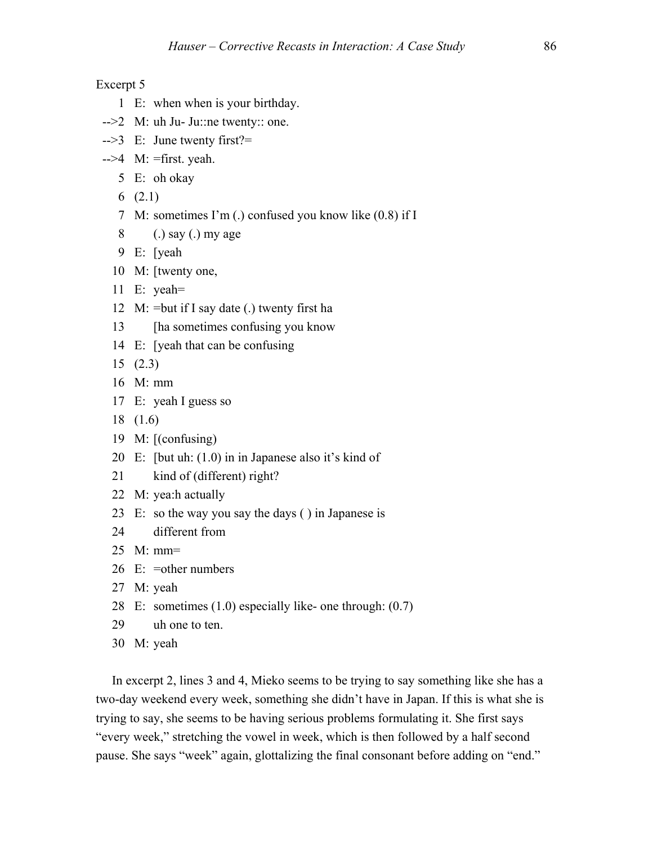Excerpt 5

- 1 E: when when is your birthday.
- $-2$  M: uh Ju- Ju::ne twenty:: one.
- -->3 E: June twenty first?=
- $-$ ->4 M: =first. yeah.
	- 5 E: oh okay
	- 6 (2.1)
	- 7 M: sometimes I'm (.) confused you know like (0.8) if I
	- 8 (.) say (.) my age
	- 9 E: [yeah
	- 10 M: [twenty one,
	- 11 E: yeah=
	- 12 M: =but if I say date (.) twenty first ha
	- 13 [ha sometimes confusing you know
	- 14 E: [yeah that can be confusing
	- 15 (2.3)
	- 16 M: mm
	- 17 E: yeah I guess so
	- 18 (1.6)
	- 19 M: [(confusing)
	- 20 E: [but uh: (1.0) in in Japanese also it's kind of
	- 21 kind of (different) right?
	- 22 M: yea:h actually
	- 23 E: so the way you say the days ( ) in Japanese is
	- 24 different from
	- $25$  M mm=
	- 26 E: =other numbers
	- 27 M: yeah
	- 28 E: sometimes (1.0) especially like- one through: (0.7)
	- 29 uh one to ten.
	- 30 M: yeah

 In excerpt 2, lines 3 and 4, Mieko seems to be trying to say something like she has a two-day weekend every week, something she didn't have in Japan. If this is what she is trying to say, she seems to be having serious problems formulating it. She first says "every week," stretching the vowel in week, which is then followed by a half second pause. She says "week" again, glottalizing the final consonant before adding on "end."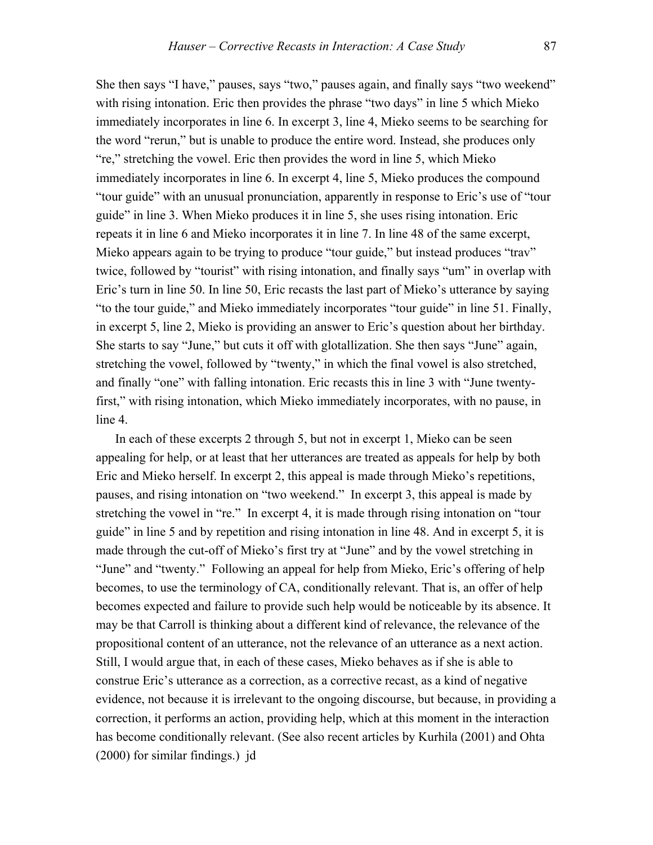She then says "I have," pauses, says "two," pauses again, and finally says "two weekend" with rising intonation. Eric then provides the phrase "two days" in line 5 which Mieko immediately incorporates in line 6. In excerpt 3, line 4, Mieko seems to be searching for the word "rerun," but is unable to produce the entire word. Instead, she produces only "re," stretching the vowel. Eric then provides the word in line 5, which Mieko immediately incorporates in line 6. In excerpt 4, line 5, Mieko produces the compound "tour guide" with an unusual pronunciation, apparently in response to Eric's use of "tour guide" in line 3. When Mieko produces it in line 5, she uses rising intonation. Eric repeats it in line 6 and Mieko incorporates it in line 7. In line 48 of the same excerpt, Mieko appears again to be trying to produce "tour guide," but instead produces "trav" twice, followed by "tourist" with rising intonation, and finally says "um" in overlap with Eric's turn in line 50. In line 50, Eric recasts the last part of Mieko's utterance by saying "to the tour guide," and Mieko immediately incorporates "tour guide" in line 51. Finally, in excerpt 5, line 2, Mieko is providing an answer to Eric's question about her birthday. She starts to say "June," but cuts it off with glotallization. She then says "June" again, stretching the vowel, followed by "twenty," in which the final vowel is also stretched, and finally "one" with falling intonation. Eric recasts this in line 3 with "June twentyfirst," with rising intonation, which Mieko immediately incorporates, with no pause, in line 4.

 In each of these excerpts 2 through 5, but not in excerpt 1, Mieko can be seen appealing for help, or at least that her utterances are treated as appeals for help by both Eric and Mieko herself. In excerpt 2, this appeal is made through Mieko's repetitions, pauses, and rising intonation on "two weekend." In excerpt 3, this appeal is made by stretching the vowel in "re." In excerpt 4, it is made through rising intonation on "tour guide" in line 5 and by repetition and rising intonation in line 48. And in excerpt 5, it is made through the cut-off of Mieko's first try at "June" and by the vowel stretching in "June" and "twenty." Following an appeal for help from Mieko, Eric's offering of help becomes, to use the terminology of CA, conditionally relevant. That is, an offer of help becomes expected and failure to provide such help would be noticeable by its absence. It may be that Carroll is thinking about a different kind of relevance, the relevance of the propositional content of an utterance, not the relevance of an utterance as a next action. Still, I would argue that, in each of these cases, Mieko behaves as if she is able to construe Eric's utterance as a correction, as a corrective recast, as a kind of negative evidence, not because it is irrelevant to the ongoing discourse, but because, in providing a correction, it performs an action, providing help, which at this moment in the interaction has become conditionally relevant. (See also recent articles by Kurhila (2001) and Ohta (2000) for similar findings.) jd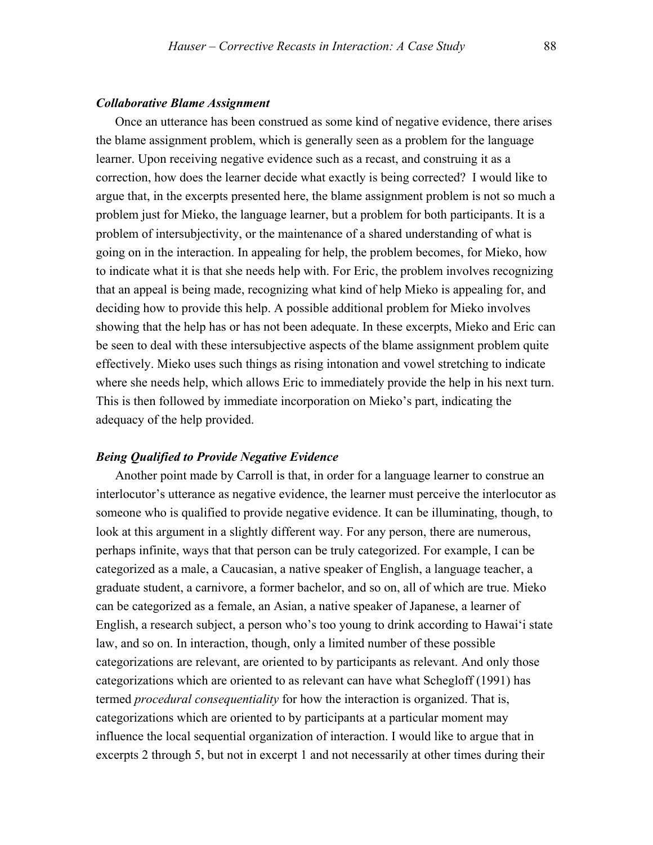#### *Collaborative Blame Assignment*

Once an utterance has been construed as some kind of negative evidence, there arises the blame assignment problem, which is generally seen as a problem for the language learner. Upon receiving negative evidence such as a recast, and construing it as a correction, how does the learner decide what exactly is being corrected? I would like to argue that, in the excerpts presented here, the blame assignment problem is not so much a problem just for Mieko, the language learner, but a problem for both participants. It is a problem of intersubjectivity, or the maintenance of a shared understanding of what is going on in the interaction. In appealing for help, the problem becomes, for Mieko, how to indicate what it is that she needs help with. For Eric, the problem involves recognizing that an appeal is being made, recognizing what kind of help Mieko is appealing for, and deciding how to provide this help. A possible additional problem for Mieko involves showing that the help has or has not been adequate. In these excerpts, Mieko and Eric can be seen to deal with these intersubjective aspects of the blame assignment problem quite effectively. Mieko uses such things as rising intonation and vowel stretching to indicate where she needs help, which allows Eric to immediately provide the help in his next turn. This is then followed by immediate incorporation on Mieko's part, indicating the adequacy of the help provided.

#### *Being Qualified to Provide Negative Evidence*

Another point made by Carroll is that, in order for a language learner to construe an interlocutor's utterance as negative evidence, the learner must perceive the interlocutor as someone who is qualified to provide negative evidence. It can be illuminating, though, to look at this argument in a slightly different way. For any person, there are numerous, perhaps infinite, ways that that person can be truly categorized. For example, I can be categorized as a male, a Caucasian, a native speaker of English, a language teacher, a graduate student, a carnivore, a former bachelor, and so on, all of which are true. Mieko can be categorized as a female, an Asian, a native speaker of Japanese, a learner of English, a research subject, a person who's too young to drink according to Hawai'i state law, and so on. In interaction, though, only a limited number of these possible categorizations are relevant, are oriented to by participants as relevant. And only those categorizations which are oriented to as relevant can have what Schegloff (1991) has termed *procedural consequentiality* for how the interaction is organized. That is, categorizations which are oriented to by participants at a particular moment may influence the local sequential organization of interaction. I would like to argue that in excerpts 2 through 5, but not in excerpt 1 and not necessarily at other times during their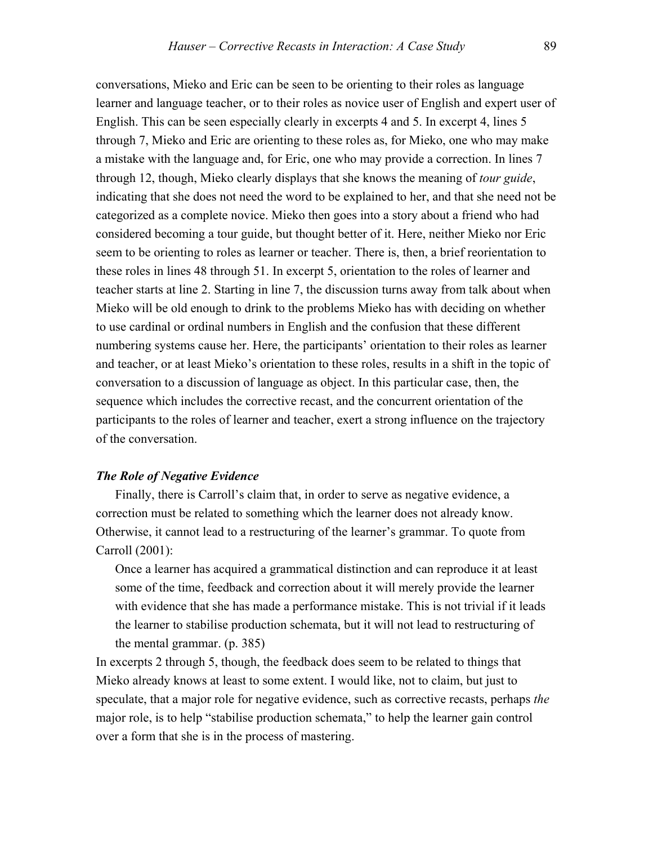conversations, Mieko and Eric can be seen to be orienting to their roles as language learner and language teacher, or to their roles as novice user of English and expert user of English. This can be seen especially clearly in excerpts 4 and 5. In excerpt 4, lines 5 through 7, Mieko and Eric are orienting to these roles as, for Mieko, one who may make a mistake with the language and, for Eric, one who may provide a correction. In lines 7 through 12, though, Mieko clearly displays that she knows the meaning of *tour guide*, indicating that she does not need the word to be explained to her, and that she need not be categorized as a complete novice. Mieko then goes into a story about a friend who had considered becoming a tour guide, but thought better of it. Here, neither Mieko nor Eric seem to be orienting to roles as learner or teacher. There is, then, a brief reorientation to these roles in lines 48 through 51. In excerpt 5, orientation to the roles of learner and teacher starts at line 2. Starting in line 7, the discussion turns away from talk about when Mieko will be old enough to drink to the problems Mieko has with deciding on whether to use cardinal or ordinal numbers in English and the confusion that these different numbering systems cause her. Here, the participants' orientation to their roles as learner and teacher, or at least Mieko's orientation to these roles, results in a shift in the topic of conversation to a discussion of language as object. In this particular case, then, the sequence which includes the corrective recast, and the concurrent orientation of the participants to the roles of learner and teacher, exert a strong influence on the trajectory of the conversation.

## *The Role of Negative Evidence*

 Finally, there is Carroll's claim that, in order to serve as negative evidence, a correction must be related to something which the learner does not already know. Otherwise, it cannot lead to a restructuring of the learner's grammar. To quote from Carroll (2001):

 Once a learner has acquired a grammatical distinction and can reproduce it at least some of the time, feedback and correction about it will merely provide the learner with evidence that she has made a performance mistake. This is not trivial if it leads the learner to stabilise production schemata, but it will not lead to restructuring of the mental grammar. (p. 385)

In excerpts 2 through 5, though, the feedback does seem to be related to things that Mieko already knows at least to some extent. I would like, not to claim, but just to speculate, that a major role for negative evidence, such as corrective recasts, perhaps *the* major role, is to help "stabilise production schemata," to help the learner gain control over a form that she is in the process of mastering.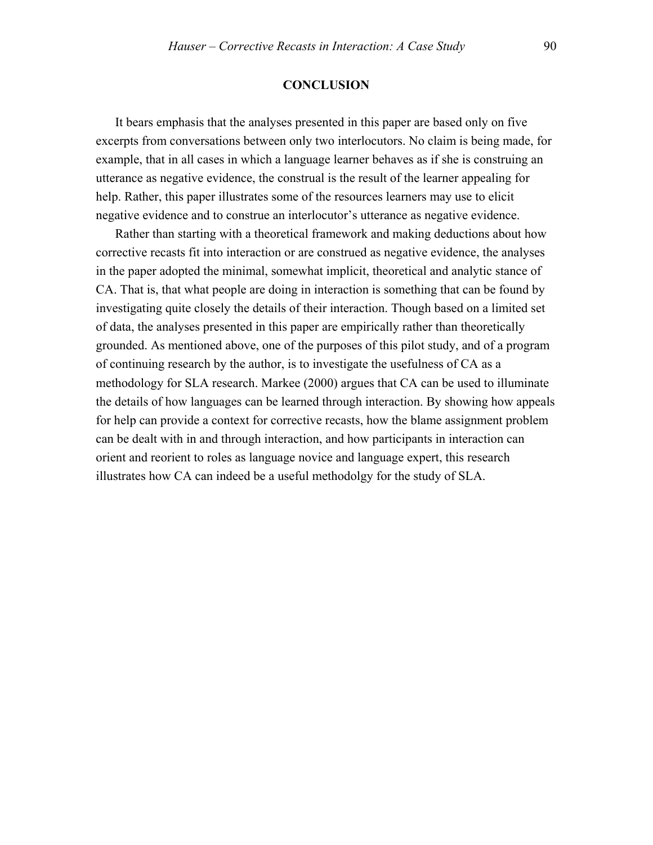#### **CONCLUSION**

 It bears emphasis that the analyses presented in this paper are based only on five excerpts from conversations between only two interlocutors. No claim is being made, for example, that in all cases in which a language learner behaves as if she is construing an utterance as negative evidence, the construal is the result of the learner appealing for help. Rather, this paper illustrates some of the resources learners may use to elicit negative evidence and to construe an interlocutor's utterance as negative evidence.

 Rather than starting with a theoretical framework and making deductions about how corrective recasts fit into interaction or are construed as negative evidence, the analyses in the paper adopted the minimal, somewhat implicit, theoretical and analytic stance of CA. That is, that what people are doing in interaction is something that can be found by investigating quite closely the details of their interaction. Though based on a limited set of data, the analyses presented in this paper are empirically rather than theoretically grounded. As mentioned above, one of the purposes of this pilot study, and of a program of continuing research by the author, is to investigate the usefulness of CA as a methodology for SLA research. Markee (2000) argues that CA can be used to illuminate the details of how languages can be learned through interaction. By showing how appeals for help can provide a context for corrective recasts, how the blame assignment problem can be dealt with in and through interaction, and how participants in interaction can orient and reorient to roles as language novice and language expert, this research illustrates how CA can indeed be a useful methodolgy for the study of SLA.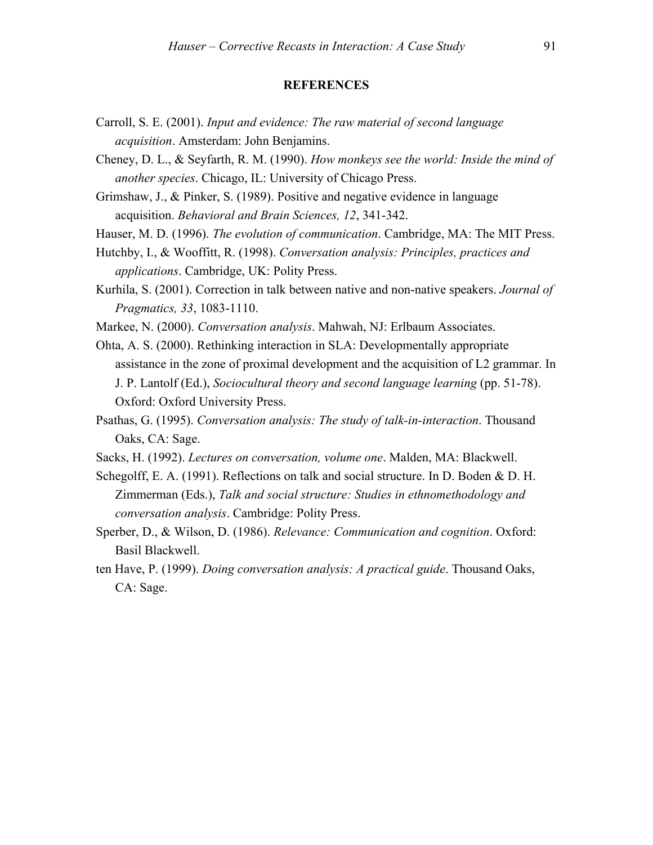#### **REFERENCES**

- Carroll, S. E. (2001). *Input and evidence: The raw material of second language acquisition*. Amsterdam: John Benjamins.
- Cheney, D. L., & Seyfarth, R. M. (1990). *How monkeys see the world: Inside the mind of another species*. Chicago, IL: University of Chicago Press.
- Grimshaw, J., & Pinker, S. (1989). Positive and negative evidence in language acquisition. *Behavioral and Brain Sciences, 12*, 341-342.
- Hauser, M. D. (1996). *The evolution of communication*. Cambridge, MA: The MIT Press.
- Hutchby, I., & Wooffitt, R. (1998). *Conversation analysis: Principles, practices and applications*. Cambridge, UK: Polity Press.
- Kurhila, S. (2001). Correction in talk between native and non-native speakers. *Journal of Pragmatics, 33*, 1083-1110.
- Markee, N. (2000). *Conversation analysis*. Mahwah, NJ: Erlbaum Associates.
- Ohta, A. S. (2000). Rethinking interaction in SLA: Developmentally appropriate assistance in the zone of proximal development and the acquisition of L2 grammar. In J. P. Lantolf (Ed.), *Sociocultural theory and second language learning* (pp. 51-78). Oxford: Oxford University Press.
- Psathas, G. (1995). *Conversation analysis: The study of talk-in-interaction*. Thousand Oaks, CA: Sage.
- Sacks, H. (1992). *Lectures on conversation, volume one*. Malden, MA: Blackwell.
- Schegolff, E. A. (1991). Reflections on talk and social structure. In D. Boden & D. H. Zimmerman (Eds.), *Talk and social structure: Studies in ethnomethodology and conversation analysis*. Cambridge: Polity Press.
- Sperber, D., & Wilson, D. (1986). *Relevance: Communication and cognition*. Oxford: Basil Blackwell.
- ten Have, P. (1999). *Doing conversation analysis: A practical guide*. Thousand Oaks, CA: Sage.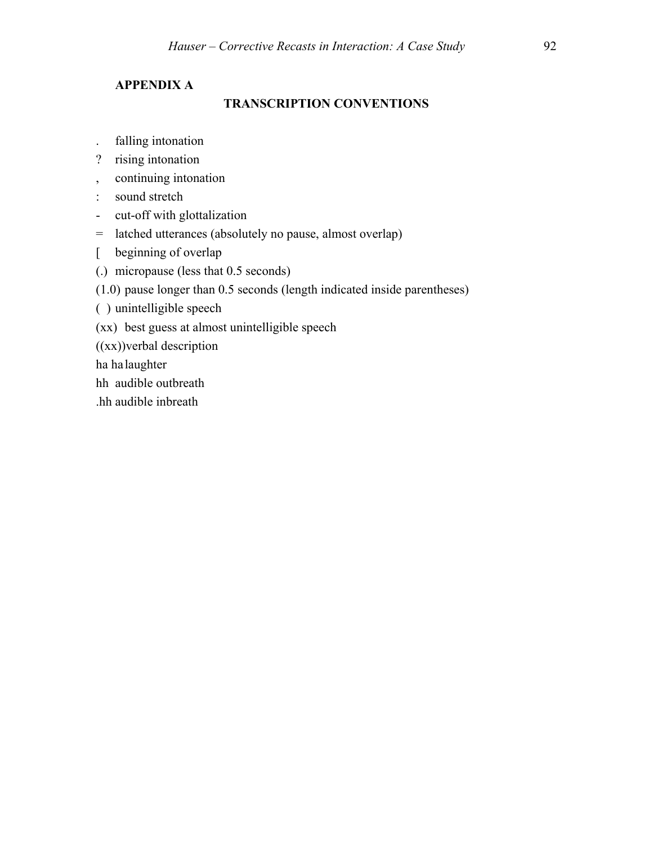## **APPENDIX A**

## **TRANSCRIPTION CONVENTIONS**

- . falling intonation
- ? rising intonation
- , continuing intonation
- : sound stretch
- cut-off with glottalization
- = latched utterances (absolutely no pause, almost overlap)
- [ beginning of overlap
- (.) micropause (less that 0.5 seconds)
- (1.0) pause longer than 0.5 seconds (length indicated inside parentheses)
- ( ) unintelligible speech
- (xx) best guess at almost unintelligible speech

((xx))verbal description

ha ha laughter

- hh audible outbreath
- .hh audible inbreath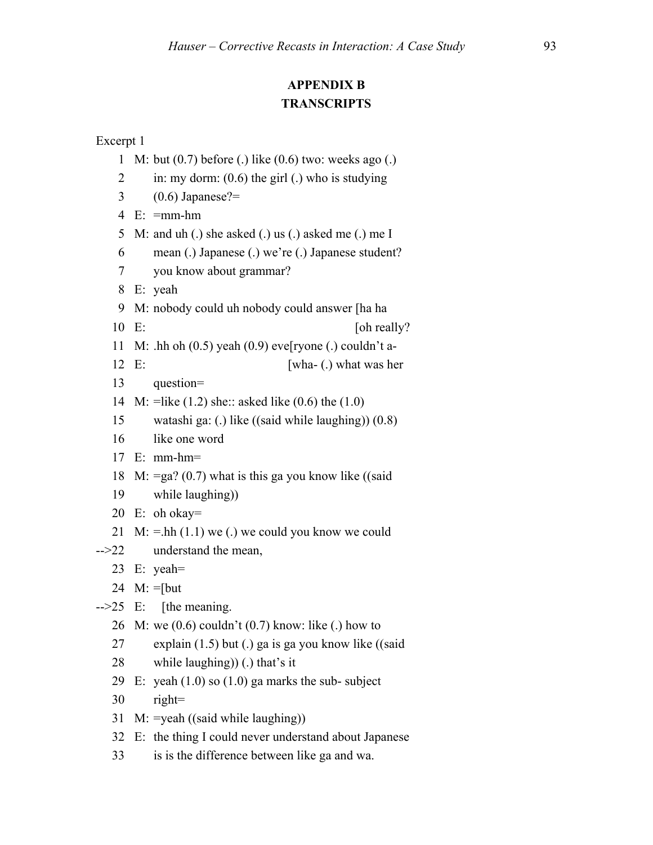## **APPENDIX B TRANSCRIPTS**

- 1 M: but (0.7) before (.) like (0.6) two: weeks ago (.)
- 2 in: my dorm:  $(0.6)$  the girl (.) who is studying
- 3  $(0.6)$  Japanese?=
- 4 E: =mm-hm
- 5 M: and uh (.) she asked (.) us (.) asked me (.) me I
- 6 mean (.) Japanese (.) we're (.) Japanese student?
- 7 you know about grammar?
- 8 E: yeah
- 9 M: nobody could uh nobody could answer [ha ha
- 10 E: [oh really?]
- 11 M: .hh oh  $(0.5)$  yeah  $(0.9)$  eve<sup>[ryone (.)</sup> couldn't a-
- 12 E: [wha- (.) what was her
- 13 question=
- 14 M: =like (1.2) she:: asked like (0.6) the (1.0)
- 15 watashi ga: (.) like ((said while laughing)) (0.8)
- 16 like one word
- 17 E: mm-hm=
- 18 M:  $=$ ga? (0.7) what is this ga you know like ((said
- 19 while laughing))
- 20 E: oh okay=
- 21 M:  $=$ hh (1.1) we (.) we could you know we could
- -->22 understand the mean,
	- 23 E: yeah=
	- 24 M: =[but
- $-25$  E: [the meaning.]
	- 26 M: we (0.6) couldn't (0.7) know: like (.) how to
	- 27 explain (1.5) but (.) ga is ga you know like ((said
	- 28 while laughing)) (.) that's it
	- 29 E: yeah  $(1.0)$  so  $(1.0)$  ga marks the sub-subject
	- 30 right=
	- 31 M: =yeah ((said while laughing))
	- 32 E: the thing I could never understand about Japanese
	- 33 is is the difference between like ga and wa.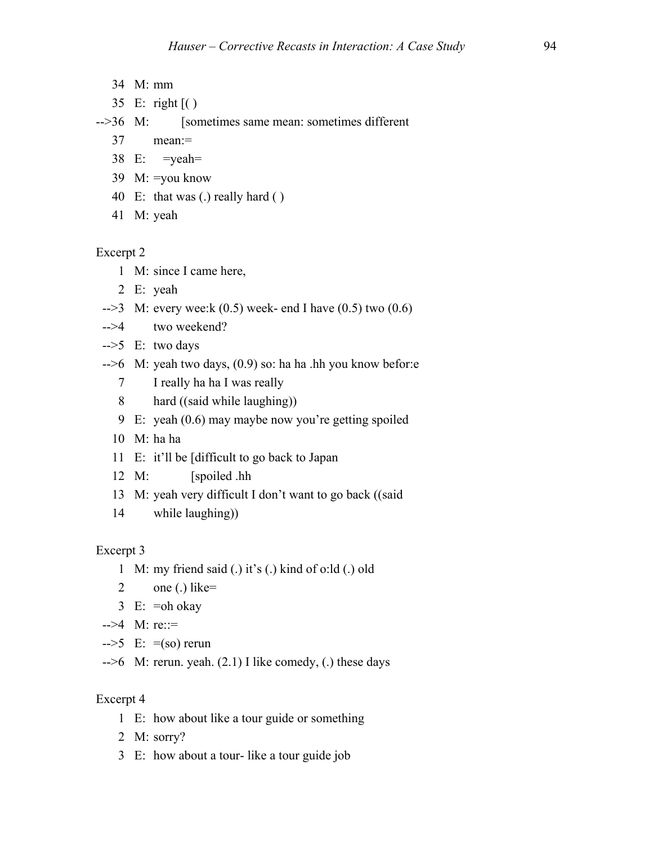- 34 M: mm
- 35 E: right [( )

## -->36 M: [sometimes same mean: sometimes different

- 37 mean:=
- 38 E: =yeah=
- 39 M: =you know
- 40 E: that was (.) really hard ( )
- 41 M: yeah

## Excerpt 2

- 1 M: since I came here,
- 2 E: yeah
- $-3$  M: every wee:k (0.5) week- end I have (0.5) two (0.6)
- -->4 two weekend?
- $\text{->}5$  E: two days
- -->6 M: yeah two days, (0.9) so: ha ha .hh you know befor:e
	- 7 I really ha ha I was really
	- 8 hard ((said while laughing))
	- 9 E: yeah (0.6) may maybe now you're getting spoiled
	- 10 M: ha ha
	- 11 E: it'll be [difficult to go back to Japan
	- 12 M: [spoiled .hh
	- 13 M: yeah very difficult I don't want to go back ((said
	- 14 while laughing))

#### Excerpt 3

- 1 M: my friend said (.) it's (.) kind of o:ld (.) old
- 2 one (.) like=
- 3 E: =oh okay
- $-34$  M: re::=
- $\text{--}>5$  E:  $\text{=(so)}$  rerun
- $-5$  M: rerun. yeah. (2.1) I like comedy, (.) these days

- 1 E: how about like a tour guide or something
- 2 M: sorry?
- 3 E: how about a tour- like a tour guide job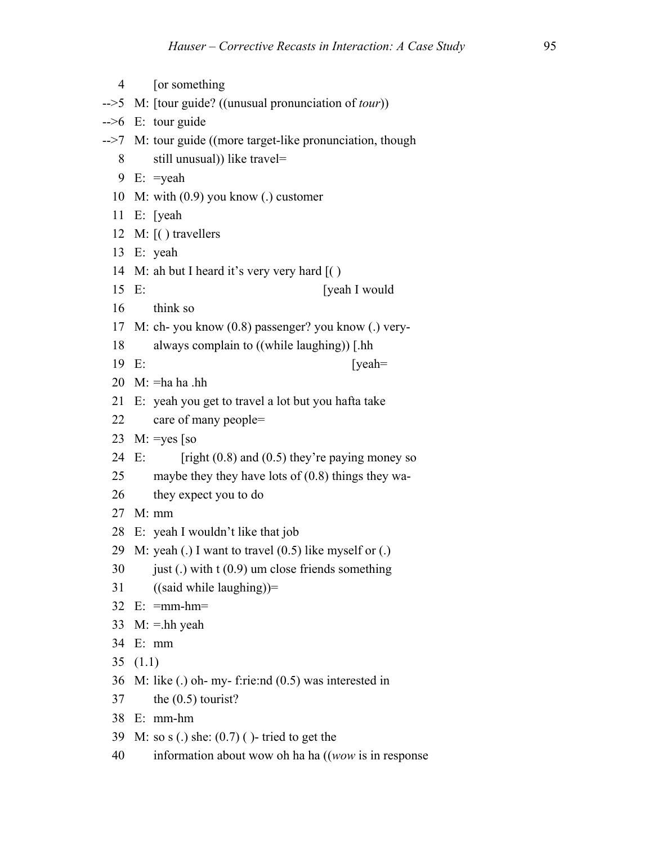| $\overline{4}$  | [or something]                                                 |
|-----------------|----------------------------------------------------------------|
|                 | -->5 M: [tour guide? ((unusual pronunciation of <i>tour</i> )) |
| $\rightarrow$ 6 | E: tour guide                                                  |
| $\rightarrow$ 7 | M: tour guide ((more target-like pronunciation, though         |
| 8               | still unusual)) like travel=                                   |
| 9               | $E: = \text{yeah}$                                             |
| 10              | M: with $(0.9)$ you know (.) customer                          |
|                 | $11$ E: [yeah]                                                 |
|                 | 12 M: $\lbrack$ () travellers                                  |
| 13              | E: yeah                                                        |
| 14              | M: ah but I heard it's very very hard $( )$                    |
| 15              | [yeah I would<br>E:                                            |
| 16              | think so                                                       |
| 17              | M: ch- you know (0.8) passenger? you know (.) very-            |
| 18              | always complain to ((while laughing)) [.hh                     |
| 19              | E:<br>[yeah=                                                   |
| 20              | $M: = ha ha.hh$                                                |
| 21              | E: yeah you get to travel a lot but you hafta take             |
| 22              | care of many people=                                           |
| 23              | $M: = yes$ [so                                                 |
| 24              | [right $(0.8)$ and $(0.5)$ they're paying money so<br>E:       |
| 25              | maybe they they have lots of $(0.8)$ things they wa-           |
| 26              | they expect you to do                                          |
| 27              | $M:$ mm                                                        |
| 28              | E: yeah I wouldn't like that job                               |
| 29              | M: yeah (.) I want to travel $(0.5)$ like myself or (.)        |
| 30              | just (.) with $t(0.9)$ um close friends something              |
| 31              | $((said while laughing))=$                                     |
|                 | $32$ E: = mm-hm =                                              |
|                 | 33 M: $=$ hh yeah                                              |
| 34              | E: mm                                                          |
| 35              | (1.1)                                                          |
| 36              | M: like $(.)$ oh- my- f:rie:nd $(0.5)$ was interested in       |
| 37              | the $(0.5)$ tourist?                                           |
| 38              | $E: mm-hm$                                                     |
| 39              | M: so s (.) she: $(0.7)$ ( )- tried to get the                 |
| 40              | information about wow oh ha ha ((wow is in response)           |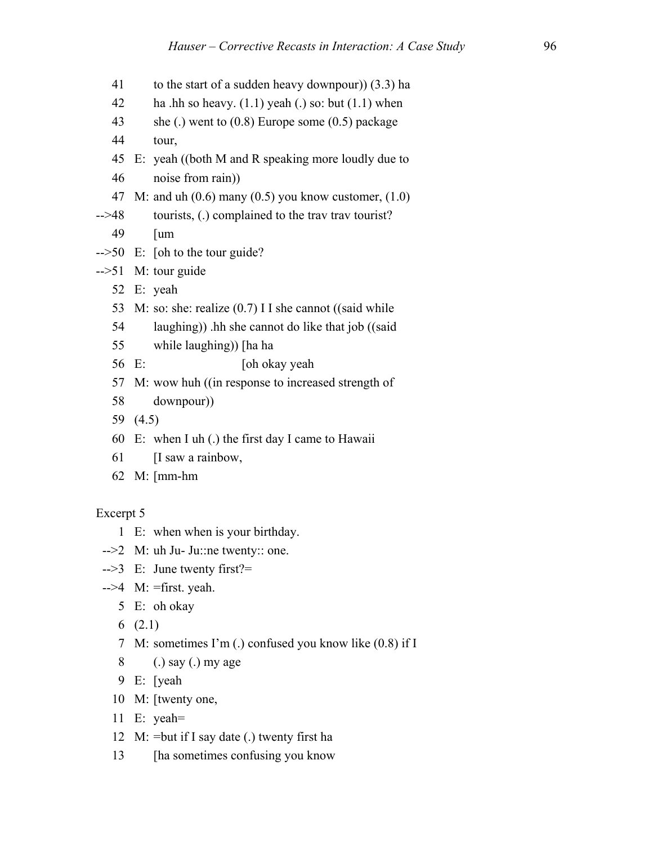- 41 to the start of a sudden heavy downpour)) (3.3) ha
- 42 ha .hh so heavy.  $(1.1)$  yeah (.) so: but  $(1.1)$  when
- 43 she (.) went to (0.8) Europe some (0.5) package
- 44 tour,
- 45 E: yeah ((both M and R speaking more loudly due to
- 46 noise from rain))
- 47 M: and uh  $(0.6)$  many  $(0.5)$  you know customer,  $(1.0)$
- -->48 tourists, (.) complained to the trav trav tourist?
	- 49 [um
- -->50 E: [oh to the tour guide?
- -->51 M: tour guide
	- 52 E: yeah
	- 53 M: so: she: realize (0.7) I I she cannot ((said while
	- 54 laughing)) .hh she cannot do like that job ((said
	- 55 while laughing)) [ha ha
	- 56 E: [oh okay yeah
	- 57 M: wow huh ((in response to increased strength of
	- 58 downpour))
	- 59 (4.5)
	- 60 E: when I uh (.) the first day I came to Hawaii
	- 61 [I saw a rainbow,
	- 62 M: [mm-hm

- 1 E: when when is your birthday.
- -->2 M: uh Ju- Ju::ne twenty:: one.
- -->3 E: June twenty first?=
- $-$ ->4 M: =first. yeah.
	- 5 E: oh okay
	- 6 (2.1)
	- 7 M: sometimes I'm (.) confused you know like (0.8) if I
	- 8 (.) say (.) my age
	- 9 E: [yeah
	- 10 M: [twenty one,
	- 11 E: yeah=
	- 12 M:  $=$ but if I say date (.) twenty first ha
	- 13 [ha sometimes confusing you know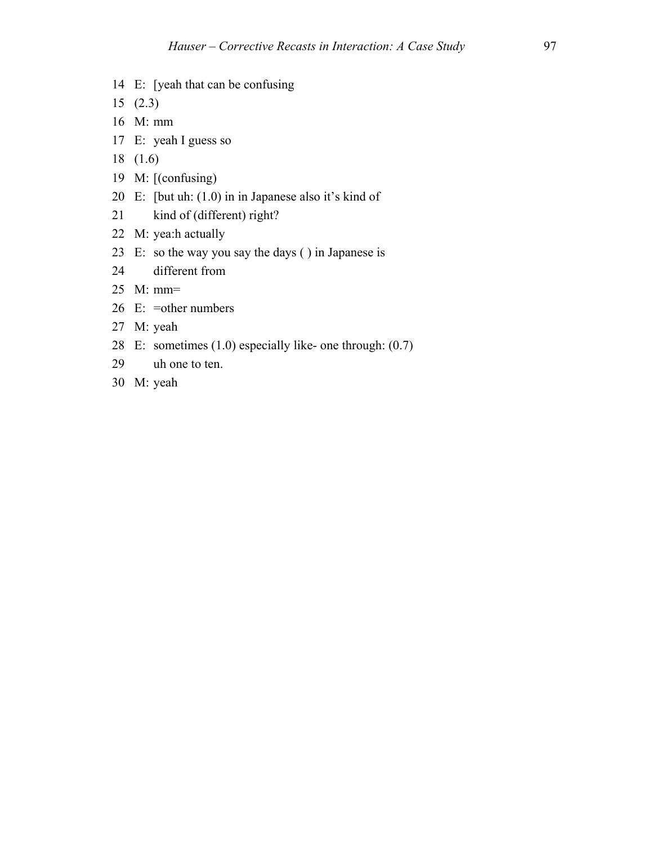- 14 E: [yeah that can be confusing
- 15 (2.3)
- 16 M: mm
- 17 E: yeah I guess so
- 18 (1.6)
- 19 M: [(confusing)
- 20 E: [but uh: (1.0) in in Japanese also it's kind of
- 21 kind of (different) right?
- 22 M: yea:h actually
- 23 E: so the way you say the days ( ) in Japanese is
- 24 different from
- 25 M: mm=
- 26 E: =other numbers
- 27 M: yeah
- 28 E: sometimes (1.0) especially like- one through: (0.7)
- 29 uh one to ten.
- 30 M: yeah